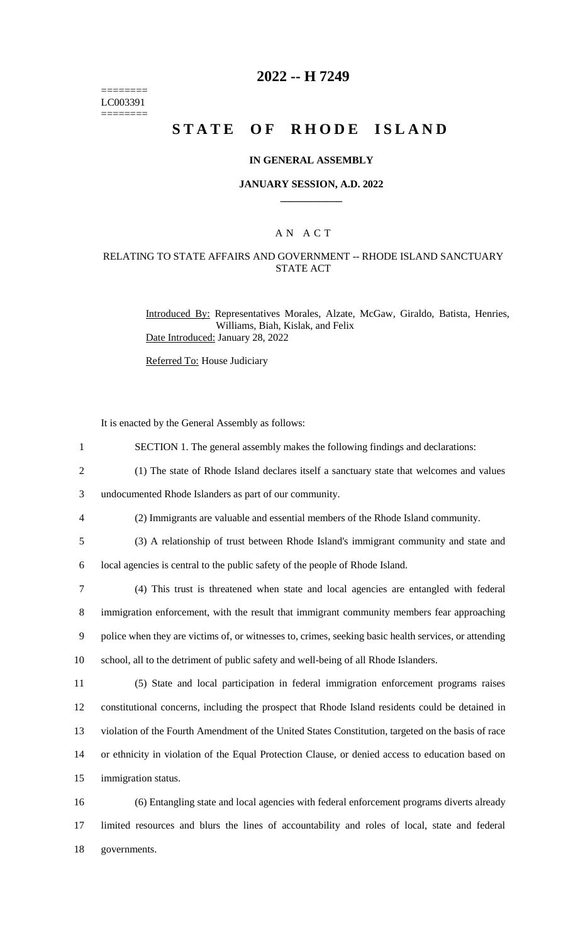======== LC003391  $=$ 

# **2022 -- H 7249**

# **STATE OF RHODE ISLAND**

### **IN GENERAL ASSEMBLY**

### **JANUARY SESSION, A.D. 2022 \_\_\_\_\_\_\_\_\_\_\_\_**

## A N A C T

## RELATING TO STATE AFFAIRS AND GOVERNMENT -- RHODE ISLAND SANCTUARY STATE ACT

Introduced By: Representatives Morales, Alzate, McGaw, Giraldo, Batista, Henries, Williams, Biah, Kislak, and Felix Date Introduced: January 28, 2022

Referred To: House Judiciary

It is enacted by the General Assembly as follows:

| $\mathbf{1}$   | SECTION 1. The general assembly makes the following findings and declarations:                        |
|----------------|-------------------------------------------------------------------------------------------------------|
| $\overline{2}$ | (1) The state of Rhode Island declares itself a sanctuary state that welcomes and values              |
| 3              | undocumented Rhode Islanders as part of our community.                                                |
| $\overline{4}$ | (2) Immigrants are valuable and essential members of the Rhode Island community.                      |
| 5              | (3) A relationship of trust between Rhode Island's immigrant community and state and                  |
| 6              | local agencies is central to the public safety of the people of Rhode Island.                         |
| $\overline{7}$ | (4) This trust is threatened when state and local agencies are entangled with federal                 |
| $8\,$          | immigration enforcement, with the result that immigrant community members fear approaching            |
| 9              | police when they are victims of, or witnesses to, crimes, seeking basic health services, or attending |
| 10             | school, all to the detriment of public safety and well-being of all Rhode Islanders.                  |
| 11             | (5) State and local participation in federal immigration enforcement programs raises                  |
| 12             | constitutional concerns, including the prospect that Rhode Island residents could be detained in      |
| 13             | violation of the Fourth Amendment of the United States Constitution, targeted on the basis of race    |
| 14             | or ethnicity in violation of the Equal Protection Clause, or denied access to education based on      |
| 15             | immigration status.                                                                                   |
| 16             | (6) Entangling state and local agencies with federal enforcement programs diverts already             |
| 17             | limited resources and blurs the lines of accountability and roles of local, state and federal         |

18 governments.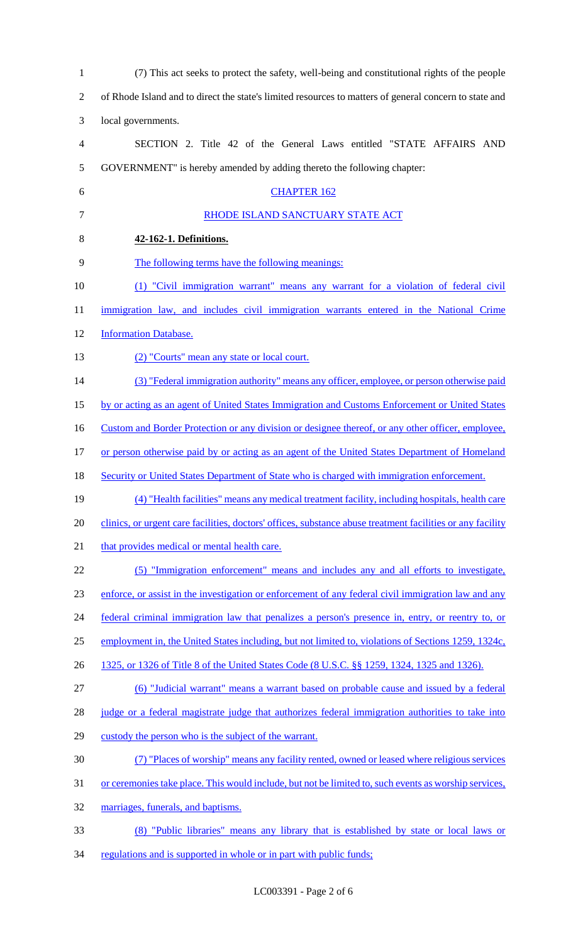| $\mathbf{1}$             | (7) This act seeks to protect the safety, well-being and constitutional rights of the people               |
|--------------------------|------------------------------------------------------------------------------------------------------------|
| $\overline{2}$           | of Rhode Island and to direct the state's limited resources to matters of general concern to state and     |
| 3                        | local governments.                                                                                         |
| $\overline{\mathcal{A}}$ | SECTION 2. Title 42 of the General Laws entitled "STATE AFFAIRS AND                                        |
| 5                        | GOVERNMENT" is hereby amended by adding thereto the following chapter:                                     |
| 6                        | <b>CHAPTER 162</b>                                                                                         |
| 7                        | RHODE ISLAND SANCTUARY STATE ACT                                                                           |
| 8                        | 42-162-1. Definitions.                                                                                     |
| 9                        | The following terms have the following meanings:                                                           |
| 10                       | (1) "Civil immigration warrant" means any warrant for a violation of federal civil                         |
| 11                       | immigration law, and includes civil immigration warrants entered in the National Crime                     |
| 12                       | <b>Information Database.</b>                                                                               |
| 13                       | (2) "Courts" mean any state or local court.                                                                |
| 14                       | (3) "Federal immigration authority" means any officer, employee, or person otherwise paid                  |
| 15                       | by or acting as an agent of United States Immigration and Customs Enforcement or United States             |
| 16                       | Custom and Border Protection or any division or designee thereof, or any other officer, employee,          |
| 17                       | or person otherwise paid by or acting as an agent of the United States Department of Homeland              |
| 18                       | <b>Security or United States Department of State who is charged with immigration enforcement.</b>          |
| 19                       | (4) "Health facilities" means any medical treatment facility, including hospitals, health care             |
| 20                       | clinics, or urgent care facilities, doctors' offices, substance abuse treatment facilities or any facility |
| 21                       | that provides medical or mental health care.                                                               |
| 22                       | (5) "Immigration enforcement" means and includes any and all efforts to investigate,                       |
| 23                       | enforce, or assist in the investigation or enforcement of any federal civil immigration law and any        |
| 24                       | federal criminal immigration law that penalizes a person's presence in, entry, or reentry to, or           |
| 25                       | employment in, the United States including, but not limited to, violations of Sections 1259, 1324c,        |
| 26                       | 1325, or 1326 of Title 8 of the United States Code (8 U.S.C. §§ 1259, 1324, 1325 and 1326).                |
| 27                       | (6) "Judicial warrant" means a warrant based on probable cause and issued by a federal                     |
| 28                       | judge or a federal magistrate judge that authorizes federal immigration authorities to take into           |
| 29                       | custody the person who is the subject of the warrant.                                                      |
| 30                       | (7) "Places of worship" means any facility rented, owned or leased where religious services                |
| 31                       | or ceremonies take place. This would include, but not be limited to, such events as worship services,      |
| 32                       | marriages, funerals, and baptisms.                                                                         |
| 33                       | (8) "Public libraries" means any library that is established by state or local laws or                     |
| 34                       | regulations and is supported in whole or in part with public funds;                                        |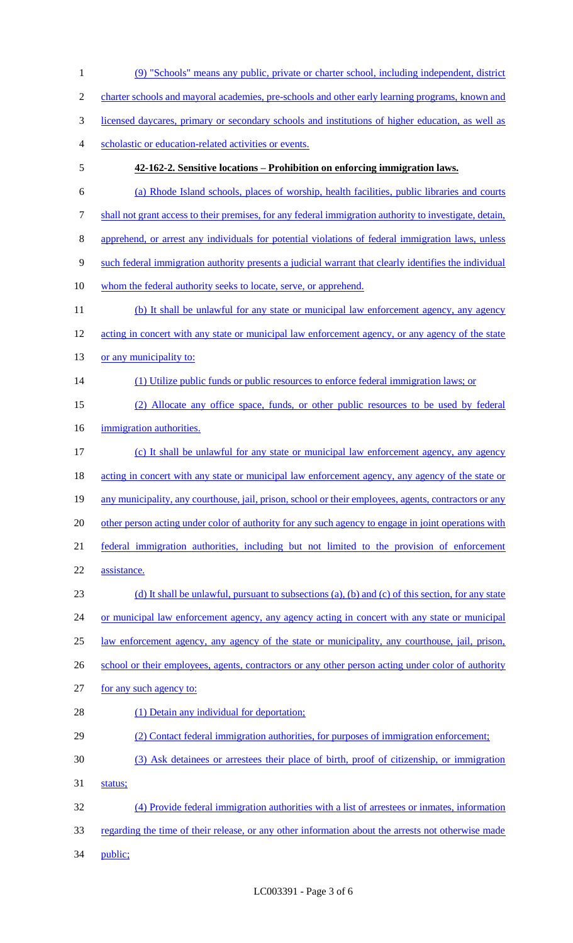1 (9) "Schools" means any public, private or charter school, including independent, district 2 charter schools and mayoral academies, pre-schools and other early learning programs, known and 3 licensed daycares, primary or secondary schools and institutions of higher education, as well as 4 scholastic or education-related activities or events. 5 **42-162-2. Sensitive locations – Prohibition on enforcing immigration laws.** 6 (a) Rhode Island schools, places of worship, health facilities, public libraries and courts 7 shall not grant access to their premises, for any federal immigration authority to investigate, detain, 8 apprehend, or arrest any individuals for potential violations of federal immigration laws, unless 9 such federal immigration authority presents a judicial warrant that clearly identifies the individual 10 whom the federal authority seeks to locate, serve, or apprehend. 11 (b) It shall be unlawful for any state or municipal law enforcement agency, any agency 12 acting in concert with any state or municipal law enforcement agency, or any agency of the state 13 or any municipality to: 14 (1) Utilize public funds or public resources to enforce federal immigration laws; or 15 (2) Allocate any office space, funds, or other public resources to be used by federal 16 immigration authorities. 17 (c) It shall be unlawful for any state or municipal law enforcement agency, any agency 18 acting in concert with any state or municipal law enforcement agency, any agency of the state or 19 any municipality, any courthouse, jail, prison, school or their employees, agents, contractors or any 20 other person acting under color of authority for any such agency to engage in joint operations with 21 federal immigration authorities, including but not limited to the provision of enforcement 22 assistance. 23 (d) It shall be unlawful, pursuant to subsections (a), (b) and (c) of this section, for any state 24 or municipal law enforcement agency, any agency acting in concert with any state or municipal 25 law enforcement agency, any agency of the state or municipality, any courthouse, jail, prison, 26 school or their employees, agents, contractors or any other person acting under color of authority 27 for any such agency to: 28 (1) Detain any individual for deportation; 29 (2) Contact federal immigration authorities, for purposes of immigration enforcement; 30 (3) Ask detainees or arrestees their place of birth, proof of citizenship, or immigration 31 status; 32 (4) Provide federal immigration authorities with a list of arrestees or inmates, information 33 regarding the time of their release, or any other information about the arrests not otherwise made 34 public;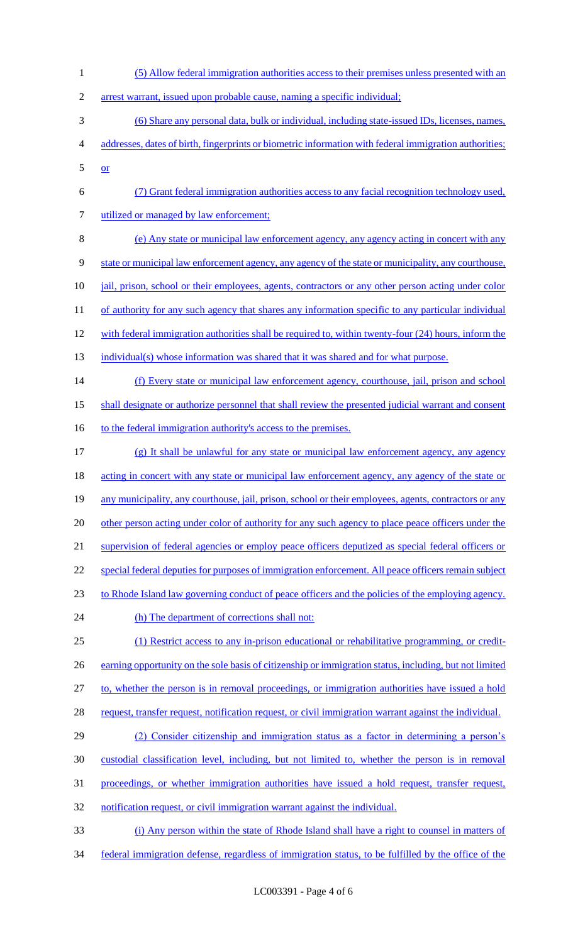(5) Allow federal immigration authorities access to their premises unless presented with an arrest warrant, issued upon probable cause, naming a specific individual; (6) Share any personal data, bulk or individual, including state-issued IDs, licenses, names, addresses, dates of birth, fingerprints or biometric information with federal immigration authorities; or (7) Grant federal immigration authorities access to any facial recognition technology used, 7 utilized or managed by law enforcement; (e) Any state or municipal law enforcement agency, any agency acting in concert with any state or municipal law enforcement agency, any agency of the state or municipality, any courthouse, 10 <u>jail, prison, school or their employees, agents, contractors or any other person acting under color</u> 11 of authority for any such agency that shares any information specific to any particular individual 12 with federal immigration authorities shall be required to, within twenty-four (24) hours, inform the 13 individual(s) whose information was shared that it was shared and for what purpose. (f) Every state or municipal law enforcement agency, courthouse, jail, prison and school shall designate or authorize personnel that shall review the presented judicial warrant and consent 16 to the federal immigration authority's access to the premises. (g) It shall be unlawful for any state or municipal law enforcement agency, any agency 18 acting in concert with any state or municipal law enforcement agency, any agency of the state or any municipality, any courthouse, jail, prison, school or their employees, agents, contractors or any 20 other person acting under color of authority for any such agency to place peace officers under the supervision of federal agencies or employ peace officers deputized as special federal officers or special federal deputies for purposes of immigration enforcement. All peace officers remain subject to Rhode Island law governing conduct of peace officers and the policies of the employing agency. 24 (h) The department of corrections shall not: (1) Restrict access to any in-prison educational or rehabilitative programming, or credit-26 earning opportunity on the sole basis of citizenship or immigration status, including, but not limited to, whether the person is in removal proceedings, or immigration authorities have issued a hold 28 request, transfer request, notification request, or civil immigration warrant against the individual. (2) Consider citizenship and immigration status as a factor in determining a person's custodial classification level, including, but not limited to, whether the person is in removal proceedings, or whether immigration authorities have issued a hold request, transfer request, 32 notification request, or civil immigration warrant against the individual. (i) Any person within the state of Rhode Island shall have a right to counsel in matters of federal immigration defense, regardless of immigration status, to be fulfilled by the office of the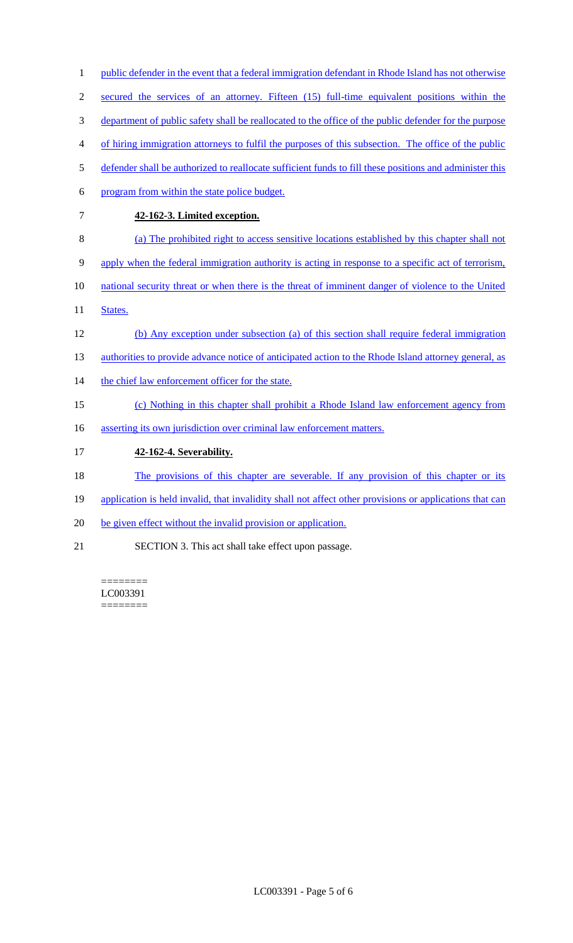| $\overline{4}$ | of hiring immigration attorneys to fulfil the purposes of this subsection. The office of the public     |
|----------------|---------------------------------------------------------------------------------------------------------|
| 5              | defender shall be authorized to reallocate sufficient funds to fill these positions and administer this |
| 6              | program from within the state police budget.                                                            |
| $\tau$         | 42-162-3. Limited exception.                                                                            |
| 8              | (a) The prohibited right to access sensitive locations established by this chapter shall not            |
| 9              | apply when the federal immigration authority is acting in response to a specific act of terrorism,      |
| 10             | national security threat or when there is the threat of imminent danger of violence to the United       |
| 11             | States.                                                                                                 |
| 12             | (b) Any exception under subsection (a) of this section shall require federal immigration                |
| 13             | authorities to provide advance notice of anticipated action to the Rhode Island attorney general, as    |
| 14             | the chief law enforcement officer for the state.                                                        |
| 15             | (c) Nothing in this chapter shall prohibit a Rhode Island law enforcement agency from                   |
| 16             | asserting its own jurisdiction over criminal law enforcement matters.                                   |
| 17             | 42-162-4. Severability.                                                                                 |
| 18             | The provisions of this chapter are severable. If any provision of this chapter or its                   |
| 19             | application is held invalid, that invalidity shall not affect other provisions or applications that can |
| 20             | be given effect without the invalid provision or application.                                           |
| 21             | SECTION 3. This act shall take effect upon passage.                                                     |

1 public defender in the event that a federal immigration defendant in Rhode Island has not otherwise

2 secured the services of an attorney. Fifteen (15) full-time equivalent positions within the

3 department of public safety shall be reallocated to the office of the public defender for the purpose

======== LC003391  $=$